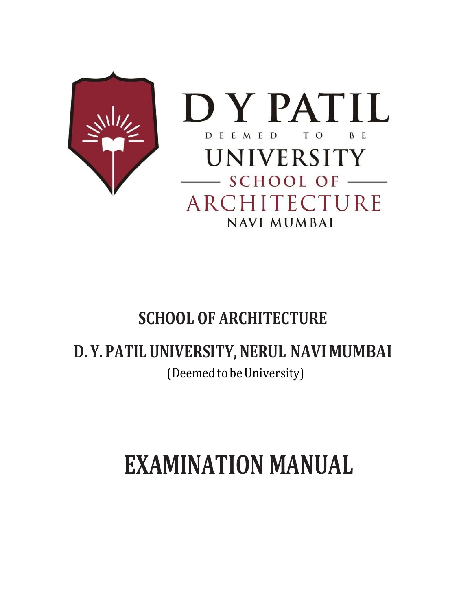



# SCHOOL OF ARCHITECTURE

# D. Y. PATIL UNIVERSITY, NERUL NAVI MUMBAI

(Deemed to be University)

# EXAMINATION MANUAL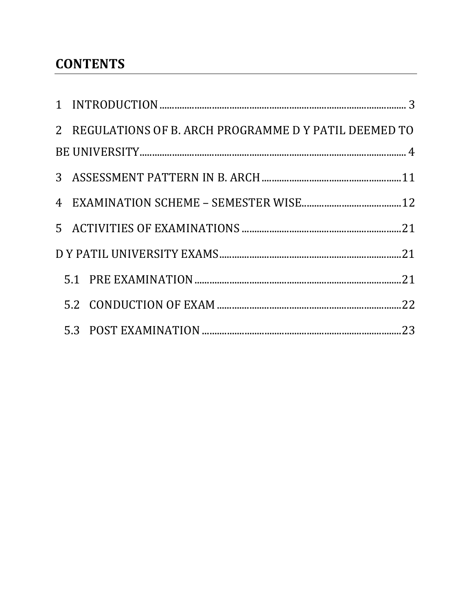# **CONTENTS**

|  | 2 REGULATIONS OF B. ARCH PROGRAMME D Y PATIL DEEMED TO |  |
|--|--------------------------------------------------------|--|
|  |                                                        |  |
|  |                                                        |  |
|  |                                                        |  |
|  |                                                        |  |
|  |                                                        |  |
|  |                                                        |  |
|  |                                                        |  |
|  |                                                        |  |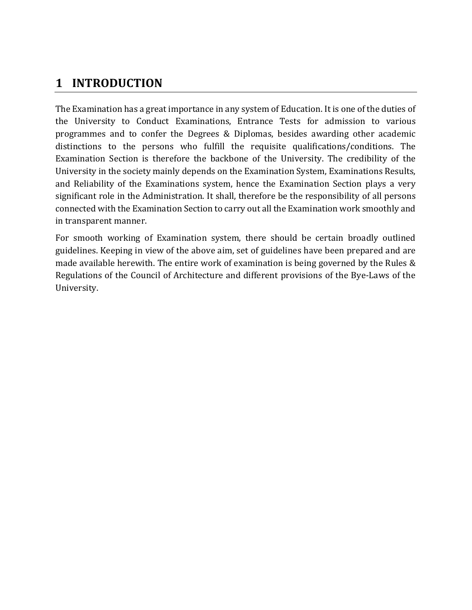# 1 INTRODUCTION

The Examination has a great importance in any system of Education. It is one of the duties of the University to Conduct Examinations, Entrance Tests for admission to various programmes and to confer the Degrees & Diplomas, besides awarding other academic distinctions to the persons who fulfill the requisite qualifications/conditions. The Examination Section is therefore the backbone of the University. The credibility of the University in the society mainly depends on the Examination System, Examinations Results, and Reliability of the Examinations system, hence the Examination Section plays a very significant role in the Administration. It shall, therefore be the responsibility of all persons connected with the Examination Section to carry out all the Examination work smoothly and in transparent manner.

For smooth working of Examination system, there should be certain broadly outlined guidelines. Keeping in view of the above aim, set of guidelines have been prepared and are made available herewith. The entire work of examination is being governed by the Rules & Regulations of the Council of Architecture and different provisions of the Bye-Laws of the University.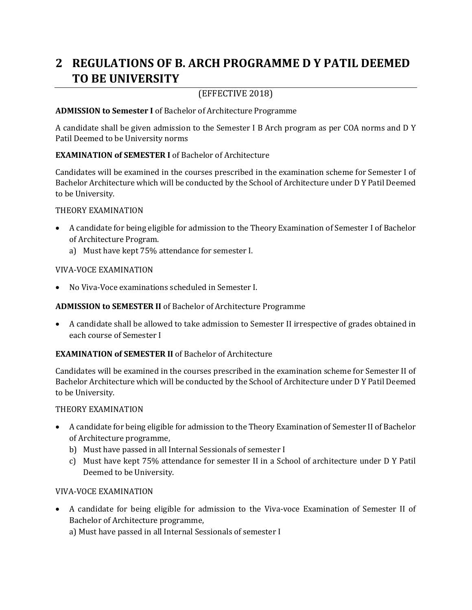# 2 REGULATIONS OF B. ARCH PROGRAMME D Y PATIL DEEMED TO BE UNIVERSITY

### (EFFECTIVE 2018)

#### ADMISSION to Semester I of Bachelor of Architecture Programme

A candidate shall be given admission to the Semester I B Arch program as per COA norms and D Y Patil Deemed to be University norms

#### EXAMINATION of SEMESTER I of Bachelor of Architecture

Candidates will be examined in the courses prescribed in the examination scheme for Semester I of Bachelor Architecture which will be conducted by the School of Architecture under D Y Patil Deemed to be University.

#### THEORY EXAMINATION

- A candidate for being eligible for admission to the Theory Examination of Semester I of Bachelor of Architecture Program.
	- a) Must have kept 75% attendance for semester I.

#### VIVA-VOCE EXAMINATION

No Viva-Voce examinations scheduled in Semester I.

#### ADMISSION to SEMESTER II of Bachelor of Architecture Programme

 A candidate shall be allowed to take admission to Semester II irrespective of grades obtained in each course of Semester I

#### EXAMINATION of SEMESTER II of Bachelor of Architecture

Candidates will be examined in the courses prescribed in the examination scheme for Semester II of Bachelor Architecture which will be conducted by the School of Architecture under D Y Patil Deemed to be University.

#### THEORY EXAMINATION

- A candidate for being eligible for admission to the Theory Examination of Semester II of Bachelor of Architecture programme,
	- b) Must have passed in all Internal Sessionals of semester I
	- c) Must have kept 75% attendance for semester II in a School of architecture under D Y Patil Deemed to be University.

- A candidate for being eligible for admission to the Viva-voce Examination of Semester II of Bachelor of Architecture programme,
	- a) Must have passed in all Internal Sessionals of semester I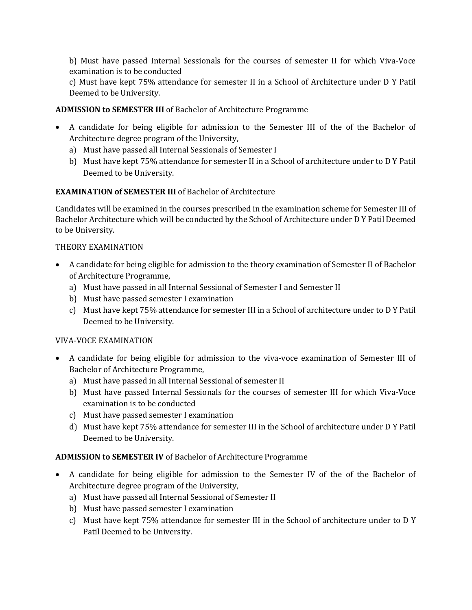b) Must have passed Internal Sessionals for the courses of semester II for which Viva-Voce examination is to be conducted

c) Must have kept 75% attendance for semester II in a School of Architecture under D Y Patil Deemed to be University.

#### ADMISSION to SEMESTER III of Bachelor of Architecture Programme

- A candidate for being eligible for admission to the Semester III of the of the Bachelor of Architecture degree program of the University,
	- a) Must have passed all Internal Sessionals of Semester I
	- b) Must have kept 75% attendance for semester II in a School of architecture under to D Y Patil Deemed to be University.

#### EXAMINATION of SEMESTER III of Bachelor of Architecture

Candidates will be examined in the courses prescribed in the examination scheme for Semester III of Bachelor Architecture which will be conducted by the School of Architecture under D Y Patil Deemed to be University.

#### THEORY EXAMINATION

- A candidate for being eligible for admission to the theory examination of Semester II of Bachelor of Architecture Programme,
	- a) Must have passed in all Internal Sessional of Semester I and Semester II
	- b) Must have passed semester I examination
	- c) Must have kept 75% attendance for semester III in a School of architecture under to D Y Patil Deemed to be University.

#### VIVA-VOCE EXAMINATION

- A candidate for being eligible for admission to the viva-voce examination of Semester III of Bachelor of Architecture Programme,
	- a) Must have passed in all Internal Sessional of semester II
	- b) Must have passed Internal Sessionals for the courses of semester III for which Viva-Voce examination is to be conducted
	- c) Must have passed semester I examination
	- d) Must have kept 75% attendance for semester III in the School of architecture under D Y Patil Deemed to be University.

#### ADMISSION to SEMESTER IV of Bachelor of Architecture Programme

- A candidate for being eligible for admission to the Semester IV of the of the Bachelor of Architecture degree program of the University,
	- a) Must have passed all Internal Sessional of Semester II
	- b) Must have passed semester I examination
	- c) Must have kept 75% attendance for semester III in the School of architecture under to D Y Patil Deemed to be University.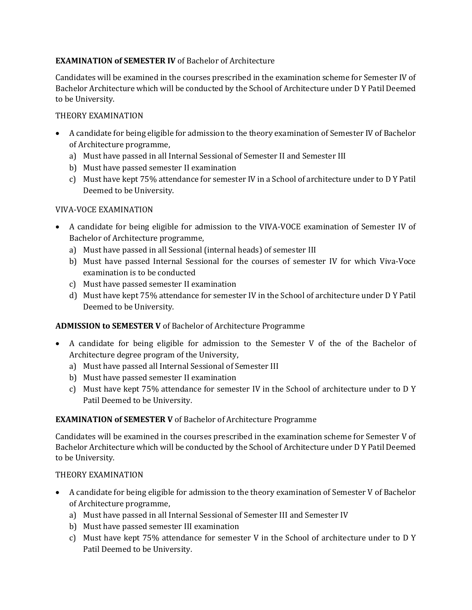#### EXAMINATION of SEMESTER IV of Bachelor of Architecture

Candidates will be examined in the courses prescribed in the examination scheme for Semester IV of Bachelor Architecture which will be conducted by the School of Architecture under D Y Patil Deemed to be University.

#### THEORY EXAMINATION

- A candidate for being eligible for admission to the theory examination of Semester IV of Bachelor of Architecture programme,
	- a) Must have passed in all Internal Sessional of Semester II and Semester III
	- b) Must have passed semester II examination
	- c) Must have kept 75% attendance for semester IV in a School of architecture under to D Y Patil Deemed to be University.

#### VIVA-VOCE EXAMINATION

- A candidate for being eligible for admission to the VIVA-VOCE examination of Semester IV of Bachelor of Architecture programme,
	- a) Must have passed in all Sessional (internal heads) of semester III
	- b) Must have passed Internal Sessional for the courses of semester IV for which Viva-Voce examination is to be conducted
	- c) Must have passed semester II examination
	- d) Must have kept 75% attendance for semester IV in the School of architecture under D Y Patil Deemed to be University.

#### ADMISSION to SEMESTER V of Bachelor of Architecture Programme

- A candidate for being eligible for admission to the Semester V of the of the Bachelor of Architecture degree program of the University,
	- a) Must have passed all Internal Sessional of Semester III
	- b) Must have passed semester II examination
	- c) Must have kept 75% attendance for semester IV in the School of architecture under to D Y Patil Deemed to be University.

#### EXAMINATION of SEMESTER V of Bachelor of Architecture Programme

Candidates will be examined in the courses prescribed in the examination scheme for Semester V of Bachelor Architecture which will be conducted by the School of Architecture under D Y Patil Deemed to be University.

#### THEORY EXAMINATION

- A candidate for being eligible for admission to the theory examination of Semester V of Bachelor of Architecture programme,
	- a) Must have passed in all Internal Sessional of Semester III and Semester IV
	- b) Must have passed semester III examination
	- c) Must have kept 75% attendance for semester V in the School of architecture under to D Y Patil Deemed to be University.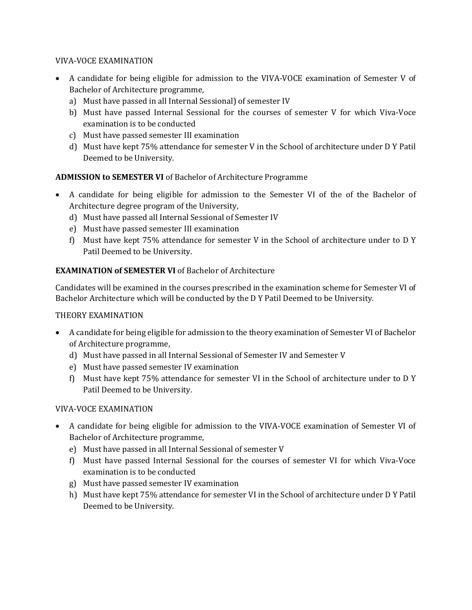#### VIVA-VOCE EXAMINATION

- A candidate for being eligible for admission to the VIVA-VOCE examination of Semester V of Bachelor of Architecture programme,
	- a) Must have passed in all Internal Sessional) of semester IV
	- b) Must have passed Internal Sessional for the courses of semester V for which Viva-Voce examination is to be conducted
	- c) Must have passed semester III examination
	- d) Must have kept 75% attendance for semester V in the School of architecture under D Y Patil Deemed to be University.

#### ADMISSION to SEMESTER VI of Bachelor of Architecture Programme

- A candidate for being eligible for admission to the Semester VI of the of the Bachelor of Architecture degree program of the University,
	- d) Must have passed all Internal Sessional of Semester IV
	- e) Must have passed semester III examination
	- f) Must have kept 75% attendance for semester V in the School of architecture under to D Y Patil Deemed to be University.

#### EXAMINATION of SEMESTER VI of Bachelor of Architecture

Candidates will be examined in the courses prescribed in the examination scheme for Semester VI of Bachelor Architecture which will be conducted by the D Y Patil Deemed to be University.

#### THEORY EXAMINATION

- A candidate for being eligible for admission to the theory examination of Semester VI of Bachelor of Architecture programme,
	- d) Must have passed in all Internal Sessional of Semester IV and Semester V
	- e) Must have passed semester IV examination
	- f) Must have kept 75% attendance for semester VI in the School of architecture under to D Y Patil Deemed to be University.

- A candidate for being eligible for admission to the VIVA-VOCE examination of Semester VI of Bachelor of Architecture programme,
	- e) Must have passed in all Internal Sessional of semester V
	- f) Must have passed Internal Sessional for the courses of semester VI for which Viva-Voce examination is to be conducted
	- g) Must have passed semester IV examination
	- h) Must have kept 75% attendance for semester VI in the School of architecture under D Y Patil Deemed to be University.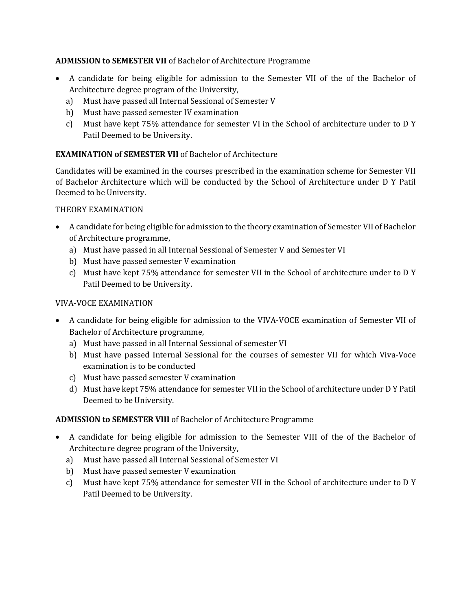#### ADMISSION to SEMESTER VII of Bachelor of Architecture Programme

- A candidate for being eligible for admission to the Semester VII of the of the Bachelor of Architecture degree program of the University,
	- a) Must have passed all Internal Sessional of Semester V
	- b) Must have passed semester IV examination
	- c) Must have kept 75% attendance for semester VI in the School of architecture under to D Y Patil Deemed to be University.

#### EXAMINATION of SEMESTER VII of Bachelor of Architecture

Candidates will be examined in the courses prescribed in the examination scheme for Semester VII of Bachelor Architecture which will be conducted by the School of Architecture under D Y Patil Deemed to be University.

#### THEORY EXAMINATION

- A candidate for being eligible for admission to the theory examination of Semester VII of Bachelor of Architecture programme,
	- a) Must have passed in all Internal Sessional of Semester V and Semester VI
	- b) Must have passed semester V examination
	- c) Must have kept 75% attendance for semester VII in the School of architecture under to D Y Patil Deemed to be University.

#### VIVA-VOCE EXAMINATION

- A candidate for being eligible for admission to the VIVA-VOCE examination of Semester VII of Bachelor of Architecture programme,
	- a) Must have passed in all Internal Sessional of semester VI
	- b) Must have passed Internal Sessional for the courses of semester VII for which Viva-Voce examination is to be conducted
	- c) Must have passed semester V examination
	- d) Must have kept 75% attendance for semester VII in the School of architecture under D Y Patil Deemed to be University.

#### ADMISSION to SEMESTER VIII of Bachelor of Architecture Programme

- A candidate for being eligible for admission to the Semester VIII of the of the Bachelor of Architecture degree program of the University,
	- a) Must have passed all Internal Sessional of Semester VI
	- b) Must have passed semester V examination
	- c) Must have kept 75% attendance for semester VII in the School of architecture under to D Y Patil Deemed to be University.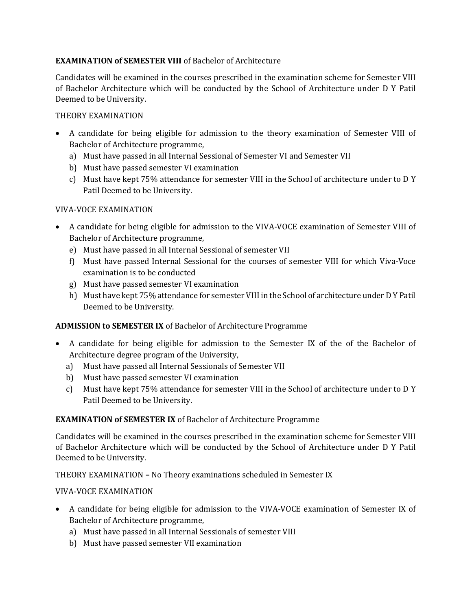#### EXAMINATION of SEMESTER VIII of Bachelor of Architecture

Candidates will be examined in the courses prescribed in the examination scheme for Semester VIII of Bachelor Architecture which will be conducted by the School of Architecture under D Y Patil Deemed to be University.

#### THEORY EXAMINATION

- A candidate for being eligible for admission to the theory examination of Semester VIII of Bachelor of Architecture programme,
	- a) Must have passed in all Internal Sessional of Semester VI and Semester VII
	- b) Must have passed semester VI examination
	- c) Must have kept 75% attendance for semester VIII in the School of architecture under to D Y Patil Deemed to be University.

#### VIVA-VOCE EXAMINATION

- A candidate for being eligible for admission to the VIVA-VOCE examination of Semester VIII of Bachelor of Architecture programme,
	- e) Must have passed in all Internal Sessional of semester VII
	- f) Must have passed Internal Sessional for the courses of semester VIII for which Viva-Voce examination is to be conducted
	- g) Must have passed semester VI examination
	- h) Must have kept 75% attendance for semester VIII in the School of architecture under D Y Patil Deemed to be University.

#### ADMISSION to SEMESTER IX of Bachelor of Architecture Programme

- A candidate for being eligible for admission to the Semester IX of the of the Bachelor of Architecture degree program of the University,
	- a) Must have passed all Internal Sessionals of Semester VII
	- b) Must have passed semester VI examination
	- c) Must have kept 75% attendance for semester VIII in the School of architecture under to D Y Patil Deemed to be University.

#### EXAMINATION of SEMESTER IX of Bachelor of Architecture Programme

Candidates will be examined in the courses prescribed in the examination scheme for Semester VIII of Bachelor Architecture which will be conducted by the School of Architecture under D Y Patil Deemed to be University.

THEORY EXAMINATION – No Theory examinations scheduled in Semester IX

- A candidate for being eligible for admission to the VIVA-VOCE examination of Semester IX of Bachelor of Architecture programme,
	- a) Must have passed in all Internal Sessionals of semester VIII
	- b) Must have passed semester VII examination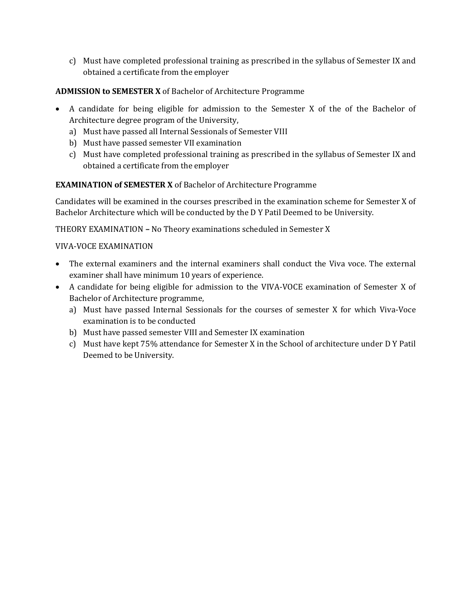c) Must have completed professional training as prescribed in the syllabus of Semester IX and obtained a certificate from the employer

#### ADMISSION to SEMESTER X of Bachelor of Architecture Programme

- A candidate for being eligible for admission to the Semester X of the of the Bachelor of Architecture degree program of the University,
	- a) Must have passed all Internal Sessionals of Semester VIII
	- b) Must have passed semester VII examination
	- c) Must have completed professional training as prescribed in the syllabus of Semester IX and obtained a certificate from the employer

#### EXAMINATION of SEMESTER X of Bachelor of Architecture Programme

Candidates will be examined in the courses prescribed in the examination scheme for Semester X of Bachelor Architecture which will be conducted by the D Y Patil Deemed to be University.

THEORY EXAMINATION – No Theory examinations scheduled in Semester X

- The external examiners and the internal examiners shall conduct the Viva voce. The external examiner shall have minimum 10 years of experience.
- A candidate for being eligible for admission to the VIVA-VOCE examination of Semester X of Bachelor of Architecture programme,
	- a) Must have passed Internal Sessionals for the courses of semester X for which Viva-Voce examination is to be conducted
	- b) Must have passed semester VIII and Semester IX examination
	- c) Must have kept 75% attendance for Semester X in the School of architecture under D Y Patil Deemed to be University.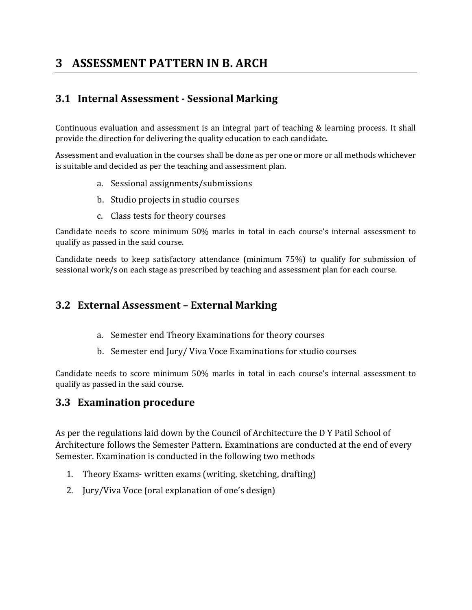# 3 ASSESSMENT PATTERN IN B. ARCH

# 3.1 Internal Assessment - Sessional Marking

Continuous evaluation and assessment is an integral part of teaching & learning process. It shall provide the direction for delivering the quality education to each candidate.

Assessment and evaluation in the courses shall be done as per one or more or all methods whichever is suitable and decided as per the teaching and assessment plan.

- a. Sessional assignments/submissions
- b. Studio projects in studio courses
- c. Class tests for theory courses

Candidate needs to score minimum 50% marks in total in each course's internal assessment to qualify as passed in the said course.

Candidate needs to keep satisfactory attendance (minimum 75%) to qualify for submission of sessional work/s on each stage as prescribed by teaching and assessment plan for each course.

### 3.2 External Assessment – External Marking

- a. Semester end Theory Examinations for theory courses
- b. Semester end Jury/ Viva Voce Examinations for studio courses

Candidate needs to score minimum 50% marks in total in each course's internal assessment to qualify as passed in the said course.

#### 3.3 Examination procedure

As per the regulations laid down by the Council of Architecture the D Y Patil School of Architecture follows the Semester Pattern. Examinations are conducted at the end of every Semester. Examination is conducted in the following two methods

- 1. Theory Exams- written exams (writing, sketching, drafting)
- 2. Jury/Viva Voce (oral explanation of one's design)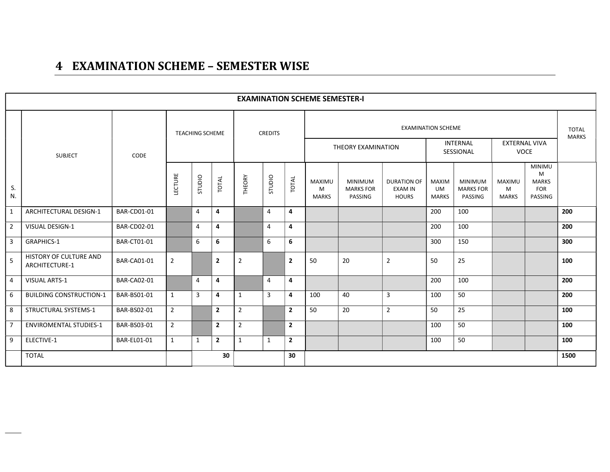# 4 EXAMINATION SCHEME – SEMESTER WISE

|                |                                          |                    |                |                                   |                |                |                |                | <b>EXAMINATION SCHEME SEMESTER-I</b> |                                               |                                                      |                                           |                                               |                                    |                                                             |                              |
|----------------|------------------------------------------|--------------------|----------------|-----------------------------------|----------------|----------------|----------------|----------------|--------------------------------------|-----------------------------------------------|------------------------------------------------------|-------------------------------------------|-----------------------------------------------|------------------------------------|-------------------------------------------------------------|------------------------------|
|                |                                          |                    |                | <b>TEACHING SCHEME</b>            |                |                | <b>CREDITS</b> |                |                                      |                                               |                                                      | <b>EXAMINATION SCHEME</b>                 | <b>INTERNAL</b>                               | <b>EXTERNAL VIVA</b>               |                                                             | <b>TOTAL</b><br><b>MARKS</b> |
|                | <b>SUBJECT</b>                           | CODE               |                |                                   |                |                |                |                |                                      | THEORY EXAMINATION                            |                                                      |                                           | SESSIONAL                                     | <b>VOCE</b>                        |                                                             |                              |
| S.<br>N.       |                                          |                    | LECTURE        | STUDIO                            | TOTAL          | THEORY         | STUDIO         | TOTAL          | MAXIMU<br>M<br>MARKS                 | <b>MINIMUM</b><br><b>MARKS FOR</b><br>PASSING | <b>DURATION OF</b><br><b>EXAM IN</b><br><b>HOURS</b> | <b>MAXIM</b><br><b>UM</b><br><b>MARKS</b> | <b>MINIMUM</b><br><b>MARKS FOR</b><br>PASSING | <b>MAXIMU</b><br>M<br><b>MARKS</b> | <b>MINIMU</b><br>M<br><b>MARKS</b><br><b>FOR</b><br>PASSING |                              |
| $\mathbf{1}$   | ARCHITECTURAL DESIGN-1                   | <b>BAR-CD01-01</b> |                | 4                                 | 4              |                | 4              | 4              |                                      |                                               |                                                      | 200                                       | 100                                           |                                    |                                                             | 200                          |
| $\overline{2}$ | <b>VISUAL DESIGN-1</b>                   | <b>BAR-CD02-01</b> |                | 4                                 | 4              |                | 4              | 4              |                                      |                                               |                                                      | 200                                       | 100                                           |                                    |                                                             | 200                          |
| $\overline{3}$ | <b>GRAPHICS-1</b>                        | <b>BAR-CT01-01</b> |                | 6                                 | 6              |                | 6              | 6              |                                      |                                               |                                                      | 300                                       | 150                                           |                                    |                                                             | 300                          |
| 5              | HISTORY OF CULTURE AND<br>ARCHITECTURE-1 | <b>BAR-CA01-01</b> | $\overline{2}$ |                                   | $\overline{2}$ | $\overline{2}$ |                | $\overline{2}$ | 50                                   | 20                                            | 2                                                    | 50                                        | 25                                            |                                    |                                                             | 100                          |
| $\overline{4}$ | VISUAL ARTS-1                            | <b>BAR-CA02-01</b> |                | 4                                 | 4              |                | $\overline{4}$ | 4              |                                      |                                               |                                                      | 200                                       | 100                                           |                                    |                                                             | 200                          |
| 6              | <b>BUILDING CONSTRUCTION-1</b>           | BAR-BS01-01        | $\mathbf{1}$   | 3                                 | 4              | $\mathbf{1}$   | 3              | 4              | 100                                  | 40                                            | 3                                                    | 100                                       | 50                                            |                                    |                                                             | 200                          |
| 8              | <b>STRUCTURAL SYSTEMS-1</b>              | BAR-BS02-01        | $\overline{2}$ |                                   | $\mathbf{2}$   | $\overline{2}$ |                | $\overline{2}$ | 50                                   | 20                                            | $\overline{2}$                                       | 50                                        | 25                                            |                                    |                                                             | 100                          |
| $\overline{7}$ | <b>ENVIROMENTAL STUDIES-1</b>            | BAR-BS03-01        | $\overline{2}$ |                                   | $\mathbf{2}$   | $\overline{2}$ |                | $\overline{2}$ |                                      |                                               |                                                      | 100                                       | 50                                            |                                    |                                                             | 100                          |
| 9              | ELECTIVE-1                               | <b>BAR-EL01-01</b> | $\mathbf{1}$   | $\mathbf{2}$<br>$\mathbf{1}$<br>1 |                |                | $\mathbf{1}$   | $\overline{2}$ |                                      |                                               |                                                      | 100                                       | 50                                            |                                    |                                                             | 100                          |
|                | <b>TOTAL</b>                             |                    |                |                                   | 30             |                |                | 30             |                                      |                                               |                                                      |                                           |                                               |                                    |                                                             | 1500                         |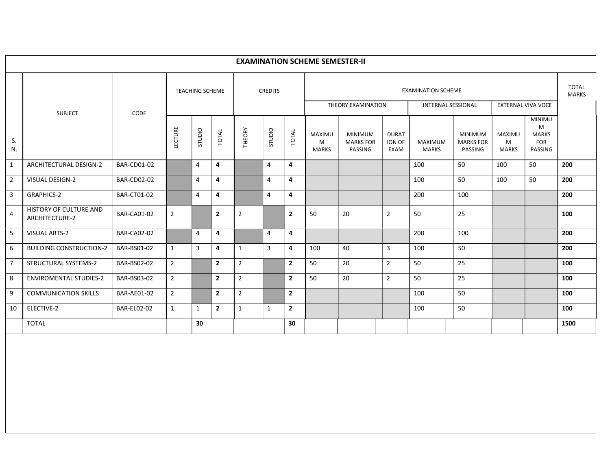|                |                                                 |                    |                |                        |                |                |                |                | <b>EXAMINATION SCHEME SEMESTER-II</b> |                                               |                                |                                                        |                                               |                             |                                                             |                              |
|----------------|-------------------------------------------------|--------------------|----------------|------------------------|----------------|----------------|----------------|----------------|---------------------------------------|-----------------------------------------------|--------------------------------|--------------------------------------------------------|-----------------------------------------------|-----------------------------|-------------------------------------------------------------|------------------------------|
|                | <b>SUBJECT</b>                                  | CODE               |                | <b>TEACHING SCHEME</b> |                |                | <b>CREDITS</b> |                |                                       | THEORY EXAMINATION                            |                                | <b>EXAMINATION SCHEME</b><br><b>INTERNAL SESSIONAL</b> |                                               |                             | EXTERNAL VIVA VOCE                                          | <b>TOTAL</b><br><b>MARKS</b> |
| S.<br>N.       |                                                 |                    | LECTURE        | STUDIO                 | TOTAL          | THEORY         | STUDIO         | TOTAL          | MAXIMU<br>M<br><b>MARKS</b>           | <b>MINIMUM</b><br><b>MARKS FOR</b><br>PASSING | <b>DURAT</b><br>ION OF<br>EXAM | <b>MAXIMUM</b><br><b>MARKS</b>                         | <b>MINIMUM</b><br><b>MARKS FOR</b><br>PASSING | MAXIMU<br>м<br><b>MARKS</b> | <b>MINIMU</b><br>M<br><b>MARKS</b><br><b>FOR</b><br>PASSING |                              |
| $\mathbf{1}$   | ARCHITECTURAL DESIGN-2                          | <b>BAR-CD01-02</b> |                | 4                      | 4              |                | 4              | 4              |                                       |                                               |                                | 100                                                    | 50                                            | 100                         | 50                                                          | 200                          |
| $\overline{2}$ | <b>VISUAL DESIGN-2</b>                          | <b>BAR-CD02-02</b> |                | 4                      | 4              |                | 4              | 4              |                                       |                                               |                                | 100                                                    | 50                                            | 100                         | 50                                                          | 200                          |
| $\overline{3}$ | <b>GRAPHICS-2</b>                               | <b>BAR-CT01-02</b> |                | 4                      | 4              |                | 4              | 4              |                                       |                                               |                                | 200                                                    | 100                                           |                             |                                                             | 200                          |
| 4              | HISTORY OF CULTURE AND<br><b>ARCHITECTURE-2</b> | <b>BAR-CA01-02</b> | $\overline{2}$ |                        | $\overline{2}$ | $\overline{2}$ |                | $\overline{2}$ | 50                                    | 20                                            | $\overline{2}$                 | 50                                                     | 25                                            |                             |                                                             | 100                          |
| 5              | <b>VISUAL ARTS-2</b>                            | <b>BAR-CA02-02</b> |                | 4                      | 4              |                | 4              | 4              |                                       |                                               |                                | 200                                                    | 100                                           |                             |                                                             | 200                          |
| 6              | <b>BUILDING CONSTRUCTION-2</b>                  | BAR-BS01-02        | $\mathbf{1}$   | $\mathbf{3}$           | 4              | 1              | 3              | 4              | 100                                   | 40                                            | 3                              | 100                                                    | 50                                            |                             |                                                             | 200                          |
| $\overline{7}$ | STRUCTURAL SYSTEMS-2                            | BAR-BS02-02        | $\overline{2}$ |                        | $\overline{2}$ | $\overline{2}$ |                | $\mathbf{2}$   | 50                                    | 20                                            | $\overline{2}$                 | 50                                                     | 25                                            |                             |                                                             | 100                          |
| 8              | <b>ENVIROMENTAL STUDIES-2</b>                   | BAR-BS03-02        | $2^{\circ}$    |                        | $\overline{2}$ | $\overline{2}$ |                | $\overline{2}$ | 50                                    | 20                                            | $\overline{2}$                 | 50                                                     | 25                                            |                             |                                                             | 100                          |
| 9              | <b>COMMUNICATION SKILLS</b>                     | <b>BAR-AE01-02</b> | $\overline{2}$ |                        | $\overline{2}$ | $\overline{2}$ |                | $\overline{2}$ |                                       |                                               |                                | 100                                                    | 50                                            |                             |                                                             | 100                          |
| 10             | ELECTIVE-2                                      | <b>BAR-EL02-02</b> | $\mathbf{1}$   | 1                      | $\overline{2}$ | $\mathbf{1}$   | $\mathbf{1}$   | $\mathbf{2}$   |                                       |                                               |                                | 100                                                    | 50                                            |                             |                                                             | 100                          |
|                | <b>TOTAL</b>                                    |                    |                | 30                     |                |                |                | 30             |                                       |                                               |                                |                                                        |                                               |                             |                                                             | 1500                         |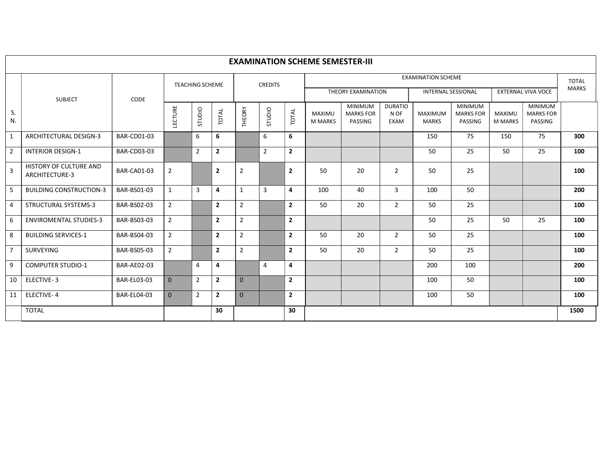|                |                                                 |                    |                |                        |                |                |                |                | <b>EXAMINATION SCHEME SEMESTER-III</b> |                                               |                                |                                |                                               |                          |                                               |                              |
|----------------|-------------------------------------------------|--------------------|----------------|------------------------|----------------|----------------|----------------|----------------|----------------------------------------|-----------------------------------------------|--------------------------------|--------------------------------|-----------------------------------------------|--------------------------|-----------------------------------------------|------------------------------|
|                |                                                 |                    |                | <b>TEACHING SCHEME</b> |                |                | <b>CREDITS</b> |                |                                        |                                               |                                | <b>EXAMINATION SCHEME</b>      |                                               |                          |                                               | <b>TOTAL</b><br><b>MARKS</b> |
|                | <b>SUBJECT</b>                                  | CODE               |                |                        |                |                |                |                |                                        | THEORY EXAMINATION                            |                                | <b>INTERNAL SESSIONAL</b>      |                                               |                          | <b>EXTERNAL VIVA VOCE</b>                     |                              |
| S.<br>N.       |                                                 |                    | LECTURE        | OIDIO                  | TOTAL          | THEORY         | OIDDIO         | TOTAL          | MAXIMU<br><b>M MARKS</b>               | <b>MINIMUM</b><br><b>MARKS FOR</b><br>PASSING | <b>DURATIO</b><br>N OF<br>EXAM | <b>MAXIMUM</b><br><b>MARKS</b> | <b>MINIMUM</b><br><b>MARKS FOR</b><br>PASSING | MAXIMU<br><b>M MARKS</b> | <b>MINIMUM</b><br><b>MARKS FOR</b><br>PASSING |                              |
| $\mathbf{1}$   | ARCHITECTURAL DESIGN-3                          | <b>BAR-CD01-03</b> |                | 6                      | 6              |                | 6              | 6              |                                        |                                               |                                | 150                            | 75                                            | 150                      | 75                                            | 300                          |
| $\overline{2}$ | <b>INTERIOR DESIGN-1</b>                        | <b>BAR-CD03-03</b> |                | $\overline{2}$         | $\overline{2}$ |                | $\overline{2}$ | $\mathbf{2}$   |                                        |                                               |                                | 50                             | 25                                            | 50                       | 25                                            | 100                          |
| 3              | <b>HISTORY OF CULTURE AND</b><br>ARCHITECTURE-3 | BAR-CA01-03        | 2              |                        | $\overline{2}$ | 2              |                | $\overline{2}$ | 50                                     | 20                                            | $\overline{2}$                 | 50                             | 25                                            |                          |                                               | 100                          |
| -5             | <b>BUILDING CONSTRUCTION-3</b>                  | BAR-BS01-03        | 1              | 3                      | 4              | $\mathbf{1}$   | 3              | 4              | 100                                    | 40                                            | 3                              | 100                            | 50                                            |                          |                                               | 200                          |
| $\overline{4}$ | STRUCTURAL SYSTEMS-3                            | BAR-BS02-03        | $\overline{2}$ |                        | $\overline{2}$ | $\overline{2}$ |                | $\overline{2}$ | 50                                     | 20                                            | $\overline{2}$                 | 50                             | 25                                            |                          |                                               | 100                          |
| 6              | <b>ENVIROMENTAL STUDIES-3</b>                   | BAR-BS03-03        | $\overline{2}$ |                        | $\mathbf{2}$   | $\sqrt{2}$     |                | $\mathbf{2}$   |                                        |                                               |                                | 50                             | 25                                            | 50                       | 25                                            | 100                          |
| 8              | <b>BUILDING SERVICES-1</b>                      | BAR-BS04-03        | $\overline{2}$ |                        | $\overline{2}$ | $\overline{2}$ |                | $\mathbf{2}$   | 50                                     | 20                                            | $\overline{2}$                 | 50                             | 25                                            |                          |                                               | 100                          |
| $\overline{7}$ | <b>SURVEYING</b>                                | <b>BAR-BS05-03</b> | $\overline{2}$ |                        | $\overline{2}$ | $\overline{2}$ |                | $\overline{2}$ | 50                                     | 20                                            | $\overline{2}$                 | 50                             | 25                                            |                          |                                               | 100                          |
| 9              | <b>COMPUTER STUDIO-1</b>                        | <b>BAR-AE02-03</b> |                | $\overline{4}$         | 4              |                | $\overline{4}$ | 4              |                                        |                                               |                                | 200                            | 100                                           |                          |                                               | 200                          |
| 10             | ELECTIVE-3                                      | <b>BAR-EL03-03</b> | $\mathbf{0}$   | $\overline{2}$         | $\overline{2}$ | $\mathbf{0}$   |                | $\mathbf{2}$   |                                        |                                               |                                | 100                            | 50                                            |                          |                                               | 100                          |
| 11             | ELECTIVE-4                                      | BAR-EL04-03        | $\mathbf{0}$   | $\overline{2}$         | $\mathbf{2}$   | $\mathbf{0}$   |                | $\mathbf{2}$   |                                        |                                               |                                | 100                            | 50                                            |                          |                                               | 100                          |
|                | <b>TOTAL</b>                                    |                    |                |                        | 30             |                |                | 30             |                                        |                                               |                                |                                |                                               |                          |                                               | 1500                         |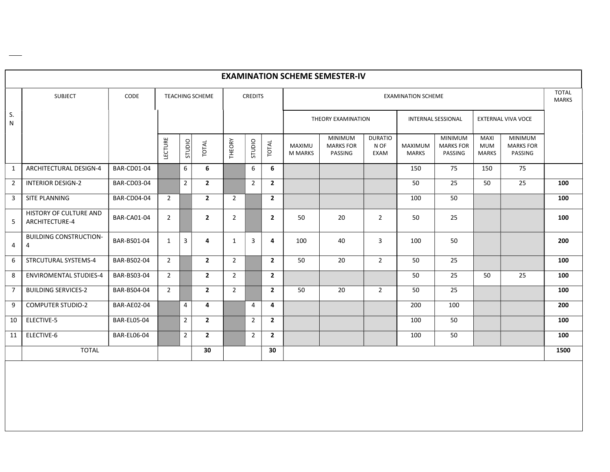|                |                                                 |                    |                |                |                 |                |                |                |                          | <b>EXAMINATION SCHEME SEMESTER-IV</b>         |                                |                                |                                               |                                           |                                               |                              |
|----------------|-------------------------------------------------|--------------------|----------------|----------------|-----------------|----------------|----------------|----------------|--------------------------|-----------------------------------------------|--------------------------------|--------------------------------|-----------------------------------------------|-------------------------------------------|-----------------------------------------------|------------------------------|
|                | <b>SUBJECT</b>                                  | CODE               |                |                | TEACHING SCHEME |                | <b>CREDITS</b> |                |                          |                                               |                                | <b>EXAMINATION SCHEME</b>      |                                               |                                           |                                               | <b>TOTAL</b><br><b>MARKS</b> |
| S.<br>N        |                                                 |                    |                |                |                 |                |                |                |                          | THEORY EXAMINATION                            |                                |                                | <b>INTERNAL SESSIONAL</b>                     |                                           | <b>EXTERNAL VIVA VOCE</b>                     |                              |
|                |                                                 |                    | LECTURE        | STUDIO         | TOTAL           | THEORY         | STUDIO         | TOTAL          | MAXIMU<br><b>M MARKS</b> | <b>MINIMUM</b><br><b>MARKS FOR</b><br>PASSING | <b>DURATIO</b><br>N OF<br>EXAM | <b>MAXIMUM</b><br><b>MARKS</b> | <b>MINIMUM</b><br><b>MARKS FOR</b><br>PASSING | <b>MAXI</b><br><b>MUM</b><br><b>MARKS</b> | <b>MINIMUM</b><br><b>MARKS FOR</b><br>PASSING |                              |
| 1              | ARCHITECTURAL DESIGN-4                          | <b>BAR-CD01-04</b> |                | 6              | 6               |                | 6              | 6              |                          |                                               |                                | 150                            | 75                                            | 150                                       | 75                                            |                              |
| 2              | <b>INTERIOR DESIGN-2</b>                        | <b>BAR-CD03-04</b> |                | $\overline{2}$ | $\mathbf{2}$    |                | $\overline{2}$ | $\overline{2}$ |                          |                                               |                                | 50                             | 25                                            | 50                                        | $\overline{25}$                               | 100                          |
| 3              | SITE PLANNING                                   | <b>BAR-CD04-04</b> | $\overline{2}$ |                | $\mathbf{2}$    | $\overline{2}$ |                | $\overline{2}$ |                          |                                               |                                | 100                            | 50                                            |                                           |                                               | 100                          |
| 5              | <b>HISTORY OF CULTURE AND</b><br>ARCHITECTURE-4 | <b>BAR-CA01-04</b> | $\overline{2}$ |                | $\overline{2}$  | $\overline{2}$ |                | $\overline{2}$ | 50                       | 20                                            | $\overline{2}$                 | 50                             | 25                                            |                                           |                                               | 100                          |
| $\overline{4}$ | <b>BUILDING CONSTRUCTION-</b><br>$\overline{4}$ | BAR-BS01-04        | $\mathbf{1}$   | $\overline{3}$ | 4               | 1              | 3              | 4              | 100                      | 40                                            | 3                              | 100                            | 50                                            |                                           |                                               | 200                          |
| 6              | STRCUTURAL SYSTEMS-4                            | BAR-BS02-04        | $\overline{2}$ |                | $\mathbf{2}$    | $\overline{2}$ |                | $\overline{2}$ | 50                       | 20                                            | $\overline{2}$                 | 50                             | 25                                            |                                           |                                               | 100                          |
| 8              | <b>ENVIROMENTAL STUDIES-4</b>                   | BAR-BS03-04        | $\overline{2}$ |                | $\mathbf{2}$    | $\overline{2}$ |                | $\overline{2}$ |                          |                                               |                                | 50                             | 25                                            | 50                                        | 25                                            | 100                          |
| $\overline{7}$ | <b>BUILDING SERVICES-2</b>                      | BAR-BS04-04        | $\overline{2}$ |                | $\mathbf{2}$    | $\overline{2}$ |                | $\overline{2}$ | 50                       | 20                                            | $\overline{2}$                 | 50                             | 25                                            |                                           |                                               | 100                          |
| 9              | <b>COMPUTER STUDIO-2</b>                        | <b>BAR-AE02-04</b> |                | $\overline{4}$ | 4               |                | $\overline{4}$ | 4              |                          |                                               |                                | 200                            | 100                                           |                                           |                                               | 200                          |
| 10             | ELECTIVE-5                                      | <b>BAR-EL05-04</b> |                | $\overline{2}$ | $\mathbf{2}$    |                | $\overline{2}$ | $\overline{2}$ |                          |                                               |                                | 100                            | 50                                            |                                           |                                               | 100                          |
| 11             | ELECTIVE-6                                      | <b>BAR-EL06-04</b> |                | $\overline{2}$ | $\mathbf{2}$    |                | $\overline{2}$ | $\overline{2}$ |                          |                                               |                                | 100                            | 50                                            |                                           |                                               | 100                          |
|                | <b>TOTAL</b>                                    |                    |                |                | 30              |                |                | 30             |                          |                                               |                                |                                |                                               |                                           |                                               | 1500                         |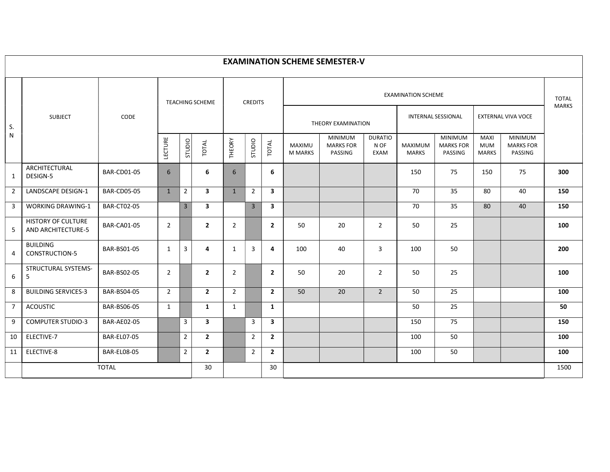|                |                                                 |                    |                |                |                         |                |                |                         |                                 | <b>EXAMINATION SCHEME SEMESTER-V</b>          |                                |                           |                                               |                                    |                                               |                              |
|----------------|-------------------------------------------------|--------------------|----------------|----------------|-------------------------|----------------|----------------|-------------------------|---------------------------------|-----------------------------------------------|--------------------------------|---------------------------|-----------------------------------------------|------------------------------------|-----------------------------------------------|------------------------------|
|                |                                                 |                    |                |                | <b>TEACHING SCHEME</b>  |                | <b>CREDITS</b> |                         |                                 |                                               |                                | <b>EXAMINATION SCHEME</b> |                                               |                                    |                                               | <b>TOTAL</b><br><b>MARKS</b> |
| S.             | <b>SUBJECT</b>                                  | CODE               |                |                |                         |                |                |                         |                                 | THEORY EXAMINATION                            |                                |                           | <b>INTERNAL SESSIONAL</b>                     |                                    | EXTERNAL VIVA VOCE                            |                              |
| N              |                                                 |                    | LECTURE        | OIDIDS         | TOTAL                   | THEORY         | STUDIO         | TOTAL                   | <b>MAXIMU</b><br><b>M MARKS</b> | <b>MINIMUM</b><br><b>MARKS FOR</b><br>PASSING | <b>DURATIO</b><br>N OF<br>EXAM | MAXIMUM<br><b>MARKS</b>   | <b>MINIMUM</b><br><b>MARKS FOR</b><br>PASSING | MAXI<br><b>MUM</b><br><b>MARKS</b> | <b>MINIMUM</b><br><b>MARKS FOR</b><br>PASSING |                              |
| 1              | ARCHITECTURAL<br>DESIGN-5                       | <b>BAR-CD01-05</b> | 6              |                | 6                       | 6              |                | 6                       |                                 |                                               |                                | 150                       | 75                                            | 150                                | 75                                            | 300                          |
| $\overline{2}$ | <b>LANDSCAPE DESIGN-1</b>                       | <b>BAR-CD05-05</b> | 1              | $\overline{2}$ | $\mathbf{3}$            | $\mathbf{1}$   | $\overline{2}$ | $\overline{\mathbf{3}}$ |                                 |                                               |                                | 70                        | 35                                            | 80                                 | 40                                            | 150                          |
| 3              | <b>WORKING DRAWING-1</b>                        | <b>BAR-CT02-05</b> |                | $\overline{3}$ | $\overline{\mathbf{3}}$ |                | $\mathbf{3}$   | $\overline{\mathbf{3}}$ |                                 |                                               |                                | 70                        | 35                                            | 80                                 | 40                                            | 150                          |
| 5              | <b>HISTORY OF CULTURE</b><br>AND ARCHITECTURE-5 | <b>BAR-CA01-05</b> | $\overline{2}$ |                | $\mathbf{2}$            | 2              |                | $\overline{2}$          | 50                              | 20                                            | $\overline{2}$                 | 50                        | 25                                            |                                    |                                               | 100                          |
| $\overline{4}$ | <b>BUILDING</b><br><b>CONSTRUCTION-5</b>        | <b>BAR-BS01-05</b> | $\mathbf{1}$   | 3              | 4                       | 1              | $\overline{3}$ | 4                       | 100                             | 40                                            | $\overline{3}$                 | 100                       | 50                                            |                                    |                                               | 200                          |
| 6              | STRUCTURAL SYSTEMS-<br>5                        | BAR-BS02-05        | $\overline{2}$ |                | $\overline{2}$          | $\overline{2}$ |                | $\overline{2}$          | 50                              | 20                                            | $\overline{2}$                 | 50                        | 25                                            |                                    |                                               | 100                          |
| 8              | <b>BUILDING SERVICES-3</b>                      | <b>BAR-BS04-05</b> | $2^{\circ}$    |                | $2^{\circ}$             | $\overline{2}$ |                | $\overline{2}$          | 50                              | 20                                            | $\overline{2}$                 | 50                        | 25                                            |                                    |                                               | 100                          |
| $7^{\circ}$    | <b>ACOUSTIC</b>                                 | <b>BAR-BS06-05</b> | $\mathbf{1}$   |                | $\mathbf{1}$            | 1              |                | 1                       |                                 |                                               |                                | 50                        | 25                                            |                                    |                                               | 50                           |
| 9              | <b>COMPUTER STUDIO-3</b>                        | <b>BAR-AE02-05</b> |                | $\overline{3}$ | $\overline{\mathbf{3}}$ |                | $\mathbf{3}$   | $\mathbf{3}$            |                                 |                                               |                                | 150                       | 75                                            |                                    |                                               | 150                          |
| 10             | ELECTIVE-7                                      | <b>BAR-EL07-05</b> |                | $\overline{2}$ | $2^{\circ}$             |                | $\overline{2}$ | $\overline{2}$          |                                 |                                               |                                | 100                       | 50                                            |                                    |                                               | 100                          |
| 11             | ELECTIVE-8                                      | <b>BAR-EL08-05</b> |                | $\overline{2}$ | $2^{\circ}$             |                | $\overline{2}$ | $\overline{2}$          |                                 |                                               |                                | 100                       | 50                                            |                                    |                                               | 100                          |
|                |                                                 | <b>TOTAL</b>       |                |                | 30                      |                |                | 30                      |                                 |                                               |                                |                           |                                               |                                    |                                               | 1500                         |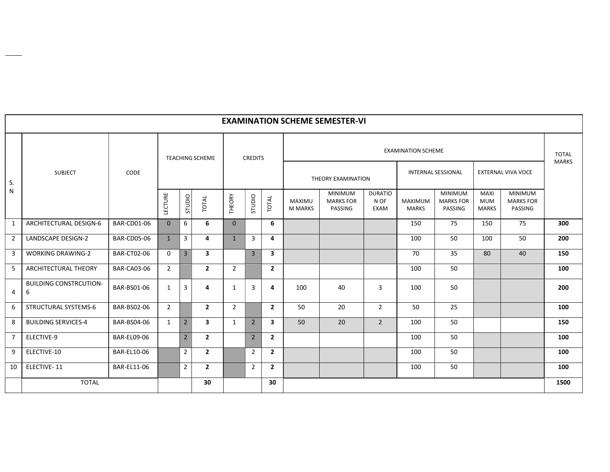|                |                                    |                    |                |                                  |                         |                |                |                         |                          | <b>EXAMINATION SCHEME SEMESTER-VI</b>         |                                       |                           |                                               |                                           |                                               |              |
|----------------|------------------------------------|--------------------|----------------|----------------------------------|-------------------------|----------------|----------------|-------------------------|--------------------------|-----------------------------------------------|---------------------------------------|---------------------------|-----------------------------------------------|-------------------------------------------|-----------------------------------------------|--------------|
|                |                                    |                    |                |                                  | <b>TEACHING SCHEME</b>  |                | <b>CREDITS</b> |                         |                          |                                               |                                       | <b>EXAMINATION SCHEME</b> |                                               |                                           |                                               | <b>TOTAL</b> |
| S.             | <b>SUBJECT</b>                     | CODE               |                |                                  |                         |                |                |                         |                          | THEORY EXAMINATION                            |                                       |                           | <b>INTERNAL SESSIONAL</b>                     |                                           | <b>EXTERNAL VIVA VOCE</b>                     | <b>MARKS</b> |
| N              |                                    |                    | LECTURE        | STUDIO                           | TOTAL                   | THEORY         | STUDIO         | TOTAL                   | MAXIMU<br><b>M MARKS</b> | <b>MINIMUM</b><br><b>MARKS FOR</b><br>PASSING | <b>DURATIO</b><br>N OF<br><b>EXAM</b> | MAXIMUM<br><b>MARKS</b>   | <b>MINIMUM</b><br><b>MARKS FOR</b><br>PASSING | <b>MAXI</b><br><b>MUM</b><br><b>MARKS</b> | <b>MINIMUM</b><br><b>MARKS FOR</b><br>PASSING |              |
| 1              | ARCHITECTURAL DESIGN-6             | <b>BAR-CD01-06</b> | $\Omega$       | 6                                | 6                       | $\mathbf{0}$   |                | 6                       |                          |                                               |                                       | 150                       | 75                                            | 150                                       | 75                                            | 300          |
| $\overline{2}$ | <b>LANDSCAPE DESIGN-2</b>          | <b>BAR-CD05-06</b> | $\mathbf{1}$   | 3                                | 4                       | $\mathbf{1}$   | 3              | 4                       |                          |                                               |                                       | 100                       | 50                                            | 100                                       | 50                                            | 200          |
| 3              | <b>WORKING DRAWING-2</b>           | <b>BAR-CT02-06</b> | $\Omega$       | $\overline{3}$                   | 3                       |                | $\overline{3}$ | 3                       |                          |                                               |                                       | 70                        | 35                                            | 80                                        | 40                                            | 150          |
| 5              | <b>ARCHITECTURAL THEORY</b>        | <b>BAR-CA03-06</b> | $\overline{2}$ |                                  | $\overline{2}$          | $\overline{2}$ |                | $\overline{2}$          |                          |                                               |                                       | 100                       | 50                                            |                                           |                                               | 100          |
| 4              | <b>BUILDING CONSTRCUTION-</b><br>6 | BAR-BS01-06        | 1              | $\overline{3}$                   | 4                       | $\mathbf{1}$   | $\overline{3}$ | 4                       | 100                      | 40                                            | 3                                     | 100                       | 50                                            |                                           |                                               | 200          |
| 6              | STRUCTURAL SYSTEMS-6               | BAR-BS02-06        | $\overline{2}$ |                                  | $\overline{2}$          | $\overline{2}$ |                | $\overline{2}$          | 50                       | 20                                            | $\overline{2}$                        | 50                        | 25                                            |                                           |                                               | 100          |
| 8              | <b>BUILDING SERVICES-4</b>         | BAR-BS04-06        | 1              | $2^{\circ}$                      | $\overline{\mathbf{3}}$ | $\mathbf{1}$   | $2^{\circ}$    | $\overline{\mathbf{3}}$ | 50                       | 20                                            | $\overline{2}$                        | 100                       | 50                                            |                                           |                                               | 150          |
| $\overline{7}$ | ELECTIVE-9                         | BAR-EL09-06        |                | $2^{\circ}$                      | $\overline{2}$          |                | $2^{\circ}$    | $\overline{2}$          |                          |                                               |                                       | 100                       | 50                                            |                                           |                                               | 100          |
| 9              | ELECTIVE-10                        | <b>BAR-EL10-06</b> |                | $\overline{2}$                   | $\overline{2}$          |                | $\overline{2}$ | $\overline{2}$          |                          |                                               |                                       | 100                       | 50                                            |                                           |                                               | 100          |
| 10             | ELECTIVE-11                        | <b>BAR-EL11-06</b> |                | $\overline{2}$<br>$\overline{2}$ |                         |                | $\overline{2}$ | $\overline{2}$          |                          |                                               |                                       | 100                       | 50                                            |                                           |                                               | 100          |
|                | <b>TOTAL</b>                       | 30                 |                |                                  |                         |                |                | 30                      |                          |                                               |                                       |                           |                                               |                                           |                                               | 1500         |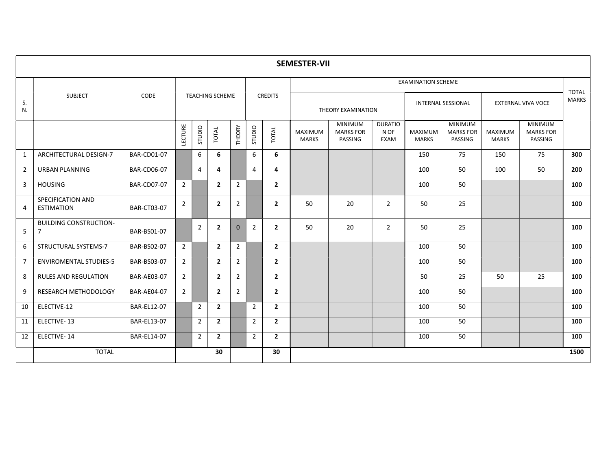|                |                                                 |                    |                |                |                        |                |                |                | <b>SEMESTER-VII</b>            |                                               |                                |                           |                                               |                         |                                        |                              |  |
|----------------|-------------------------------------------------|--------------------|----------------|----------------|------------------------|----------------|----------------|----------------|--------------------------------|-----------------------------------------------|--------------------------------|---------------------------|-----------------------------------------------|-------------------------|----------------------------------------|------------------------------|--|
|                |                                                 |                    |                |                |                        |                |                |                |                                |                                               |                                | <b>EXAMINATION SCHEME</b> |                                               |                         |                                        |                              |  |
| S.<br>N.       | <b>SUBJECT</b>                                  | <b>CODE</b>        |                |                | <b>TEACHING SCHEME</b> |                |                | <b>CREDITS</b> |                                | THEORY EXAMINATION                            |                                |                           | <b>INTERNAL SESSIONAL</b>                     |                         | EXTERNAL VIVA VOCE                     | <b>TOTAL</b><br><b>MARKS</b> |  |
|                |                                                 |                    | LECTURE        | STUDIO         | TOTAL                  | THEORY         | OIOLIS         | TOTAL          | <b>MAXIMUM</b><br><b>MARKS</b> | <b>MINIMUM</b><br><b>MARKS FOR</b><br>PASSING | <b>DURATIO</b><br>N OF<br>EXAM | MAXIMUM<br><b>MARKS</b>   | <b>MINIMUM</b><br><b>MARKS FOR</b><br>PASSING | MAXIMUM<br><b>MARKS</b> | MINIMUM<br><b>MARKS FOR</b><br>PASSING |                              |  |
| 1              | ARCHITECTURAL DESIGN-7                          | <b>BAR-CD01-07</b> |                | 6              | 6                      |                | 6              | 6              |                                |                                               |                                | 150                       | 75                                            | 150                     | 75                                     | 300                          |  |
| $\overline{2}$ | <b>URBAN PLANNING</b>                           | <b>BAR-CD06-07</b> |                | $\overline{4}$ | 4                      |                | $\overline{4}$ | 4              |                                |                                               |                                | 100                       | 50                                            | 100                     | 50                                     | 200                          |  |
| $\overline{3}$ | <b>HOUSING</b>                                  | <b>BAR-CD07-07</b> | $\overline{2}$ |                | $\overline{2}$         | $\overline{2}$ |                | $\overline{2}$ |                                |                                               |                                | 100                       | 50                                            |                         |                                        | 100                          |  |
| 4              | SPECIFICATION AND<br><b>ESTIMATION</b>          | <b>BAR-CT03-07</b> | 2              |                | $\overline{2}$         | $\overline{2}$ |                | $\overline{2}$ | 50                             | 20                                            | $\overline{2}$                 | 50                        | 25                                            |                         |                                        | 100                          |  |
| 5              | <b>BUILDING CONSTRUCTION-</b><br>$\overline{7}$ | BAR-BS01-07        |                | $\overline{2}$ | $\overline{2}$         | $\Omega$       | $\overline{2}$ | $\overline{2}$ | 50                             | 20                                            | $\overline{2}$                 | 50                        | 25                                            |                         |                                        | 100                          |  |
| 6              | STRUCTURAL SYSTEMS-7                            | BAR-BS02-07        | $\overline{2}$ |                | $\overline{2}$         | $\overline{2}$ |                | $\overline{2}$ |                                |                                               |                                | 100                       | 50                                            |                         |                                        | 100                          |  |
| $\overline{7}$ | <b>ENVIROMENTAL STUDIES-5</b>                   | BAR-BS03-07        | $\overline{2}$ |                | $\overline{2}$         | $2^{\circ}$    |                | $\overline{2}$ |                                |                                               |                                | 100                       | 50                                            |                         |                                        | 100                          |  |
| 8              | <b>RULES AND REGULATION</b>                     | <b>BAR-AE03-07</b> | $\overline{2}$ |                | $\overline{2}$         | $\overline{2}$ |                | $\overline{2}$ |                                |                                               |                                | 50                        | 25                                            | 50                      | 25                                     | 100                          |  |
| 9              | RESEARCH METHODOLOGY                            | <b>BAR-AE04-07</b> | $\overline{2}$ |                | $\overline{2}$         | $\overline{2}$ |                | $\overline{2}$ |                                |                                               |                                | 100                       | 50                                            |                         |                                        | 100                          |  |
| 10             | ELECTIVE-12                                     | <b>BAR-EL12-07</b> |                | 2              | $\overline{2}$         |                | $\overline{2}$ | $\overline{2}$ |                                |                                               |                                | 100                       | 50                                            |                         |                                        | 100                          |  |
| 11             | <b>ELECTIVE-13</b>                              | <b>BAR-EL13-07</b> |                | $\overline{2}$ | $\overline{2}$         |                | $\overline{2}$ | $\overline{2}$ | 50<br>100                      |                                               |                                |                           |                                               |                         |                                        |                              |  |
| 12             | ELECTIVE-14                                     | BAR-EL14-07        |                | $\overline{2}$ | $\overline{2}$         |                | $2^{\circ}$    | $\overline{2}$ |                                |                                               |                                | 100                       | 50                                            |                         |                                        | 100                          |  |
|                | <b>TOTAL</b>                                    |                    |                |                | 30                     |                |                | 30             |                                |                                               |                                |                           |                                               |                         |                                        | 1500                         |  |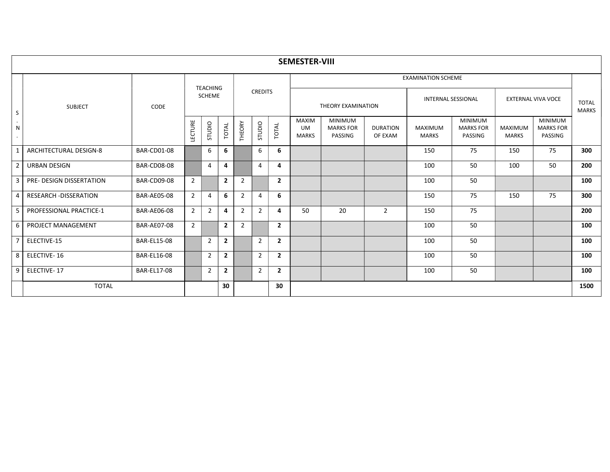|                                   |                                 |                    |                |                 |                |                |                |                | <b>SEMESTER-VIII</b>                      |                                               |                            |                                |                                               |                         |                                               |                              |
|-----------------------------------|---------------------------------|--------------------|----------------|-----------------|----------------|----------------|----------------|----------------|-------------------------------------------|-----------------------------------------------|----------------------------|--------------------------------|-----------------------------------------------|-------------------------|-----------------------------------------------|------------------------------|
|                                   |                                 |                    |                | <b>TEACHING</b> |                |                |                |                |                                           |                                               |                            | <b>EXAMINATION SCHEME</b>      |                                               |                         |                                               |                              |
| S                                 | <b>SUBJECT</b>                  | CODE               |                | <b>SCHEME</b>   |                |                | <b>CREDITS</b> |                |                                           | THEORY EXAMINATION                            |                            | <b>INTERNAL SESSIONAL</b>      |                                               |                         | <b>EXTERNAL VIVA VOCE</b>                     | <b>TOTAL</b><br><b>MARKS</b> |
| $\cdot$<br>$\mathsf{N}$<br>$\sim$ |                                 |                    | LECTURE        | STUDIO          | TOTAL          | THEORY         | STUDIO         | TOTAL          | <b>MAXIM</b><br><b>UM</b><br><b>MARKS</b> | <b>MINIMUM</b><br><b>MARKS FOR</b><br>PASSING | <b>DURATION</b><br>OF EXAM | <b>MAXIMUM</b><br><b>MARKS</b> | <b>MINIMUM</b><br><b>MARKS FOR</b><br>PASSING | MAXIMUM<br><b>MARKS</b> | <b>MINIMUM</b><br><b>MARKS FOR</b><br>PASSING |                              |
| $\mathbf{1}$                      | <b>ARCHITECTURAL DESIGN-8</b>   | <b>BAR-CD01-08</b> |                | 6               | 6              |                | 6              | 6              |                                           |                                               |                            | 150                            | 75                                            | 150                     | 75                                            | 300                          |
| $\overline{2}$                    | <b>URBAN DESIGN</b>             | <b>BAR-CD08-08</b> |                | 4               | 4              |                | 4              | 4              |                                           |                                               |                            | 100                            | 50                                            | 100                     | 50                                            | 200                          |
| $\overline{3}$                    | <b>PRE- DESIGN DISSERTATION</b> | <b>BAR-CD09-08</b> | $\overline{2}$ |                 | $\overline{2}$ | $\overline{2}$ |                | $\mathbf{2}$   |                                           |                                               |                            | 100                            | 50                                            |                         |                                               | 100                          |
| $\overline{4}$                    | <b>RESEARCH-DISSERATION</b>     | <b>BAR-AE05-08</b> | $\overline{2}$ | 4               | 6              | $\overline{2}$ | $\overline{4}$ | 6              |                                           |                                               |                            | 150                            | 75                                            | 150                     | 75                                            | 300                          |
| 5                                 | PROFESSIONAL PRACTICE-1         | <b>BAR-AE06-08</b> | $\overline{2}$ | $\overline{2}$  | 4              | $\overline{2}$ | $\overline{2}$ | 4              | 50                                        | 20                                            | $\overline{2}$             | 150                            | 75                                            |                         |                                               | 200                          |
| 6                                 | PROJECT MANAGEMENT              | <b>BAR-AE07-08</b> | $\overline{2}$ |                 | $\overline{2}$ | $\overline{2}$ |                | $\mathbf{2}$   |                                           |                                               |                            | 100                            | 50                                            |                         |                                               | 100                          |
| $\overline{7}$                    | ELECTIVE-15                     | <b>BAR-EL15-08</b> |                | $\overline{2}$  | $\overline{2}$ |                | $\overline{2}$ | $\mathbf{2}$   |                                           |                                               |                            | 100                            | 50                                            |                         |                                               | 100                          |
| 8                                 | ELECTIVE-16                     | <b>BAR-EL16-08</b> |                | $\overline{2}$  | $\mathbf{2}$   |                | $\overline{2}$ | $\overline{2}$ |                                           |                                               |                            | 100                            | 50                                            |                         |                                               | 100                          |
| 9                                 | ELECTIVE-17                     | <b>BAR-EL17-08</b> |                | 2               | $\mathbf{2}$   |                | $\overline{2}$ | $\mathbf{2}$   |                                           |                                               |                            | 100                            | 50                                            |                         |                                               | 100                          |
|                                   | <b>TOTAL</b>                    |                    |                |                 | 30             |                |                | 30             |                                           |                                               |                            |                                |                                               |                         |                                               | 1500                         |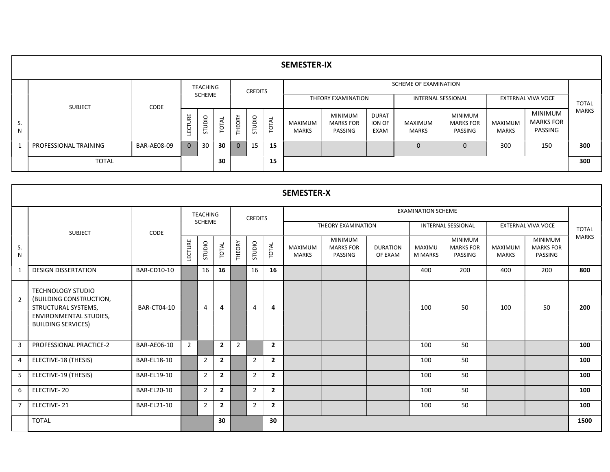|         |                       |             |                    |                 |          |                                  |                                    |       | <b>SEMESTER-IX</b>      |                                               |                                |                           |                                               |                         |                                               |              |
|---------|-----------------------|-------------|--------------------|-----------------|----------|----------------------------------|------------------------------------|-------|-------------------------|-----------------------------------------------|--------------------------------|---------------------------|-----------------------------------------------|-------------------------|-----------------------------------------------|--------------|
|         |                       |             |                    | <b>TEACHING</b> |          |                                  | <b>CREDITS</b>                     |       |                         |                                               |                                | SCHEME OF EXAMINATION     |                                               |                         |                                               |              |
|         | <b>SUBJECT</b>        | CODE        |                    | <b>SCHEME</b>   |          |                                  |                                    |       |                         | THEORY EXAMINATION                            |                                | <b>INTERNAL SESSIONAL</b> |                                               |                         | <b>EXTERNAL VIVA VOCE</b>                     | <b>TOTAL</b> |
| S.<br>N |                       |             | URE<br><b>TECL</b> | STUDIO          | ಸ<br>ÌОГ | EORY<br>$\overline{\phantom{0}}$ | $\overline{a}$<br>$\supset$<br>in. | TOTAL | MAXIMUM<br><b>MARKS</b> | <b>MINIMUM</b><br><b>MARKS FOR</b><br>PASSING | <b>DURAT</b><br>ION OF<br>EXAM | MAXIMUM<br>MARKS          | <b>MINIMUM</b><br><b>MARKS FOR</b><br>PASSING | MAXIMUM<br><b>MARKS</b> | <b>MINIMUM</b><br><b>MARKS FOR</b><br>PASSING | <b>MARKS</b> |
|         | PROFESSIONAL TRAINING | BAR-AE08-09 | $\mathbf{0}$       | 30              | 30       | $\Omega$                         | 15                                 | 15    |                         |                                               |                                | 0                         |                                               | 300                     | 150                                           | 300          |
|         | <b>TOTAL</b>          |             |                    |                 | 30       |                                  |                                    | 15    |                         |                                               |                                |                           |                                               |                         |                                               | 300          |

|                |                                                                                                                                          |                    |                |                 |                |                |                |                | <b>SEMESTER-X</b>              |                                               |                            |                           |                                               |                                |                                               |              |
|----------------|------------------------------------------------------------------------------------------------------------------------------------------|--------------------|----------------|-----------------|----------------|----------------|----------------|----------------|--------------------------------|-----------------------------------------------|----------------------------|---------------------------|-----------------------------------------------|--------------------------------|-----------------------------------------------|--------------|
|                |                                                                                                                                          |                    |                | <b>TEACHING</b> |                |                | <b>CREDITS</b> |                |                                |                                               |                            | <b>EXAMINATION SCHEME</b> |                                               |                                |                                               |              |
|                | <b>SUBJECT</b>                                                                                                                           | CODE               |                | <b>SCHEME</b>   |                |                |                |                |                                | THEORY EXAMINATION                            |                            |                           | <b>INTERNAL SESSIONAL</b>                     |                                | <b>EXTERNAL VIVA VOCE</b>                     | <b>TOTAL</b> |
| S.<br>N        |                                                                                                                                          |                    | LECTURE        | OIODES          | TOTAL          | THEORY         | STUDIO         | TOTAL          | <b>MAXIMUM</b><br><b>MARKS</b> | <b>MINIMUM</b><br><b>MARKS FOR</b><br>PASSING | <b>DURATION</b><br>OF EXAM | MAXIMU<br><b>M MARKS</b>  | <b>MINIMUM</b><br><b>MARKS FOR</b><br>PASSING | <b>MAXIMUM</b><br><b>MARKS</b> | <b>MINIMUM</b><br><b>MARKS FOR</b><br>PASSING | <b>MARKS</b> |
| 1              | <b>DESIGN DISSERTATION</b>                                                                                                               | <b>BAR-CD10-10</b> |                | 16              | 16             |                | 16             | 16             |                                |                                               |                            | 400                       | 200                                           | 400                            | 200                                           | 800          |
| $\overline{2}$ | <b>TECHNOLOGY STUDIO</b><br>(BUILDING CONSTRUCTION,<br>STRUCTURAL SYSTEMS,<br><b>ENVIRONMENTAL STUDIES,</b><br><b>BUILDING SERVICES)</b> | BAR-CT04-10        |                | 4               | 4              |                | 4              | 4              |                                |                                               |                            | 100                       | 50                                            | 100                            | 50                                            | 200          |
| $\overline{3}$ | <b>PROFESSIONAL PRACTICE-2</b>                                                                                                           | <b>BAR-AE06-10</b> | $\overline{2}$ |                 | $\overline{2}$ | $\overline{2}$ |                | $\overline{2}$ |                                |                                               |                            | 100                       | 50                                            |                                |                                               | 100          |
| 4              | ELECTIVE-18 (THESIS)                                                                                                                     | <b>BAR-EL18-10</b> |                | $\overline{2}$  | $\overline{2}$ |                | $\overline{2}$ | $\overline{2}$ |                                |                                               |                            | 100                       | 50                                            |                                |                                               | 100          |
| 5              | ELECTIVE-19 (THESIS)                                                                                                                     | <b>BAR-EL19-10</b> |                | $\overline{2}$  | $\overline{2}$ |                | $\overline{2}$ | $\overline{2}$ |                                |                                               |                            | 100                       | 50                                            |                                |                                               | 100          |
| 6              | ELECTIVE-20                                                                                                                              | <b>BAR-EL20-10</b> |                | $\overline{2}$  | $\overline{2}$ |                | $\overline{2}$ | $\overline{2}$ |                                |                                               |                            | 100                       | 50                                            |                                |                                               | 100          |
| -7             | ELECTIVE-21                                                                                                                              | <b>BAR-EL21-10</b> |                | 2               | $\overline{2}$ |                | $\overline{2}$ | $\overline{2}$ |                                |                                               |                            | 100                       | 50                                            |                                |                                               | 100          |
|                | <b>TOTAL</b>                                                                                                                             |                    |                |                 | 30             |                |                | 30             |                                |                                               |                            |                           |                                               |                                |                                               | 1500         |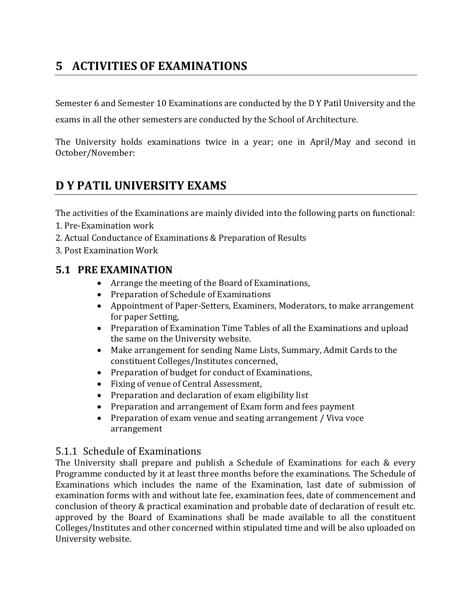# 5 ACTIVITIES OF EXAMINATIONS

Semester 6 and Semester 10 Examinations are conducted by the D Y Patil University and the

exams in all the other semesters are conducted by the School of Architecture.

The University holds examinations twice in a year; one in April/May and second in October/November:

# D Y PATIL UNIVERSITY EXAMS

The activities of the Examinations are mainly divided into the following parts on functional:

- 1. Pre-Examination work
- 2. Actual Conductance of Examinations & Preparation of Results
- 3. Post Examination Work

# 5.1 PRE EXAMINATION

- Arrange the meeting of the Board of Examinations,
- Preparation of Schedule of Examinations
- Appointment of Paper-Setters, Examiners, Moderators, to make arrangement for paper Setting,
- Preparation of Examination Time Tables of all the Examinations and upload the same on the University website.
- Make arrangement for sending Name Lists, Summary, Admit Cards to the constituent Colleges/Institutes concerned,
- Preparation of budget for conduct of Examinations,
- Fixing of venue of Central Assessment,
- Preparation and declaration of exam eligibility list
- Preparation and arrangement of Exam form and fees payment
- Preparation of exam venue and seating arrangement / Viva voce arrangement

### 5.1.1 Schedule of Examinations

The University shall prepare and publish a Schedule of Examinations for each & every Programme conducted by it at least three months before the examinations. The Schedule of Examinations which includes the name of the Examination, last date of submission of examination forms with and without late fee, examination fees, date of commencement and conclusion of theory & practical examination and probable date of declaration of result etc. approved by the Board of Examinations shall be made available to all the constituent Colleges/Institutes and other concerned within stipulated time and will be also uploaded on University website.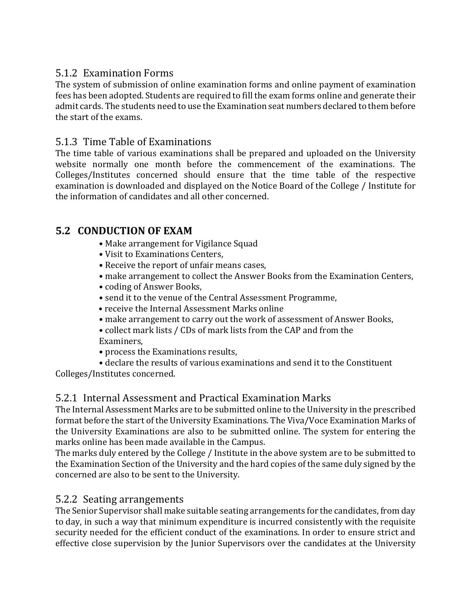# 5.1.2 Examination Forms

The system of submission of online examination forms and online payment of examination fees has been adopted. Students are required to fill the exam forms online and generate their admit cards. The students need to use the Examination seat numbers declared to them before the start of the exams.

# 5.1.3 Time Table of Examinations

The time table of various examinations shall be prepared and uploaded on the University website normally one month before the commencement of the examinations. The Colleges/Institutes concerned should ensure that the time table of the respective examination is downloaded and displayed on the Notice Board of the College / Institute for the information of candidates and all other concerned.

# 5.2 CONDUCTION OF EXAM

- Make arrangement for Vigilance Squad
- Visit to Examinations Centers,
- Receive the report of unfair means cases,
- make arrangement to collect the Answer Books from the Examination Centers,
- coding of Answer Books,
- send it to the venue of the Central Assessment Programme,
- receive the Internal Assessment Marks online
- make arrangement to carry out the work of assessment of Answer Books,
- collect mark lists / CDs of mark lists from the CAP and from the Examiners,
- process the Examinations results,
- declare the results of various examinations and send it to the Constituent

Colleges/Institutes concerned.

# 5.2.1 Internal Assessment and Practical Examination Marks

The Internal Assessment Marks are to be submitted online to the University in the prescribed format before the start of the University Examinations. The Viva/Voce Examination Marks of the University Examinations are also to be submitted online. The system for entering the marks online has been made available in the Campus.

The marks duly entered by the College / Institute in the above system are to be submitted to the Examination Section of the University and the hard copies of the same duly signed by the concerned are also to be sent to the University.

# 5.2.2 Seating arrangements

The Senior Supervisor shall make suitable seating arrangements for the candidates, from day to day, in such a way that minimum expenditure is incurred consistently with the requisite security needed for the efficient conduct of the examinations. In order to ensure strict and effective close supervision by the Junior Supervisors over the candidates at the University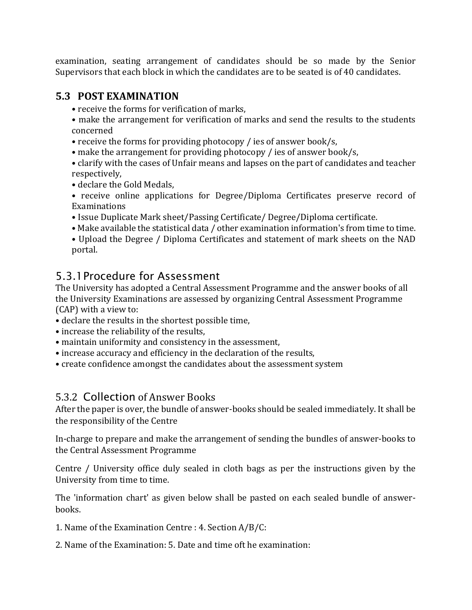examination, seating arrangement of candidates should be so made by the Senior Supervisors that each block in which the candidates are to be seated is of 40 candidates.

# 5.3 POST EXAMINATION

- receive the forms for verification of marks,
- make the arrangement for verification of marks and send the results to the students concerned
- receive the forms for providing photocopy / ies of answer book/s,
- make the arrangement for providing photocopy / ies of answer book/s,
- clarify with the cases of Unfair means and lapses on the part of candidates and teacher respectively,
- declare the Gold Medals,
- receive online applications for Degree/Diploma Certificates preserve record of Examinations
- Issue Duplicate Mark sheet/Passing Certificate/ Degree/Diploma certificate.
- Make available the statistical data / other examination information's from time to time.
- Upload the Degree / Diploma Certificates and statement of mark sheets on the NAD portal.

# 5.3.1Procedure for Assessment

The University has adopted a Central Assessment Programme and the answer books of all the University Examinations are assessed by organizing Central Assessment Programme (CAP) with a view to:

- declare the results in the shortest possible time,
- increase the reliability of the results,
- maintain uniformity and consistency in the assessment,
- increase accuracy and efficiency in the declaration of the results,
- create confidence amongst the candidates about the assessment system

# 5.3.2 Collection of Answer Books

After the paper is over, the bundle of answer-books should be sealed immediately. It shall be the responsibility of the Centre

In-charge to prepare and make the arrangement of sending the bundles of answer-books to the Central Assessment Programme

Centre / University office duly sealed in cloth bags as per the instructions given by the University from time to time.

The 'information chart' as given below shall be pasted on each sealed bundle of answerbooks.

- 1. Name of the Examination Centre : 4. Section A/B/C:
- 2. Name of the Examination: 5. Date and time oft he examination: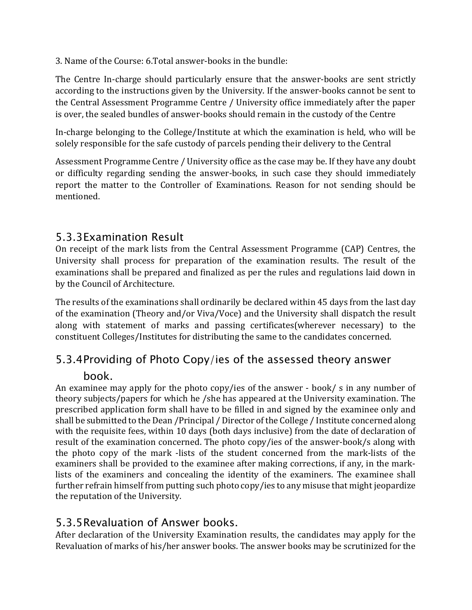3. Name of the Course: 6.Total answer-books in the bundle:

The Centre In-charge should particularly ensure that the answer-books are sent strictly according to the instructions given by the University. If the answer-books cannot be sent to the Central Assessment Programme Centre / University office immediately after the paper is over, the sealed bundles of answer-books should remain in the custody of the Centre

In-charge belonging to the College/Institute at which the examination is held, who will be solely responsible for the safe custody of parcels pending their delivery to the Central

Assessment Programme Centre / University office as the case may be. If they have any doubt or difficulty regarding sending the answer-books, in such case they should immediately report the matter to the Controller of Examinations. Reason for not sending should be mentioned.

# 5.3.3Examination Result

On receipt of the mark lists from the Central Assessment Programme (CAP) Centres, the University shall process for preparation of the examination results. The result of the examinations shall be prepared and finalized as per the rules and regulations laid down in by the Council of Architecture.

The results of the examinations shall ordinarily be declared within 45 days from the last day of the examination (Theory and/or Viva/Voce) and the University shall dispatch the result along with statement of marks and passing certificates(wherever necessary) to the constituent Colleges/Institutes for distributing the same to the candidates concerned.

# 5.3.4Providing of Photo Copy/ies of the assessed theory answer book.

An examinee may apply for the photo copy/ies of the answer - book/ s in any number of theory subjects/papers for which he /she has appeared at the University examination. The prescribed application form shall have to be filled in and signed by the examinee only and shall be submitted to the Dean /Principal / Director of the College / Institute concerned along with the requisite fees, within 10 days (both days inclusive) from the date of declaration of result of the examination concerned. The photo copy/ies of the answer-book/s along with the photo copy of the mark -lists of the student concerned from the mark-lists of the examiners shall be provided to the examinee after making corrections, if any, in the marklists of the examiners and concealing the identity of the examiners. The examinee shall further refrain himself from putting such photo copy/ies to any misuse that might jeopardize the reputation of the University.

# 5.3.5Revaluation of Answer books.

After declaration of the University Examination results, the candidates may apply for the Revaluation of marks of his/her answer books. The answer books may be scrutinized for the